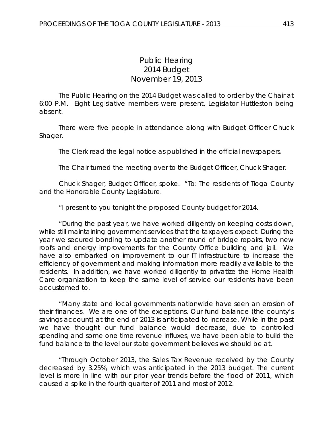## *Public Hearing 2014 Budget* November 19, 2013

The Public Hearing on the 2014 Budget was called to order by the Chair at 6:00 P.M. Eight Legislative members were present, Legislator Huttleston being absent.

There were five people in attendance along with Budget Officer Chuck Shager.

The Clerk read the legal notice as published in the official newspapers.

The Chair turned the meeting over to the Budget Officer, Chuck Shager.

Chuck Shager, Budget Officer, spoke. "To: The residents of Tioga County and the Honorable County Legislature.

"I present to you tonight the proposed County budget for 2014.

"During the past year, we have worked diligently on keeping costs down, while still maintaining government services that the taxpayers expect. During the year we secured bonding to update another round of bridge repairs, two new roofs and energy improvements for the County Office building and jail. We have also embarked on improvement to our IT infrastructure to increase the efficiency of government and making information more readily available to the residents. In addition, we have worked diligently to privatize the Home Health Care organization to keep the same level of service our residents have been accustomed to.

"Many state and local governments nationwide have seen an erosion of their finances. We are one of the exceptions. Our fund balance (the county's savings account) at the end of 2013 is anticipated to increase. While in the past we have thought our fund balance would decrease, due to controlled spending and some one time revenue influxes, we have been able to build the fund balance to the level our state government believes we should be at.

"Through October 2013, the Sales Tax Revenue received by the County decreased by 3.25%, which was anticipated in the 2013 budget. The current level is more in line with our prior year trends before the flood of 2011, which caused a spike in the fourth quarter of 2011 and most of 2012.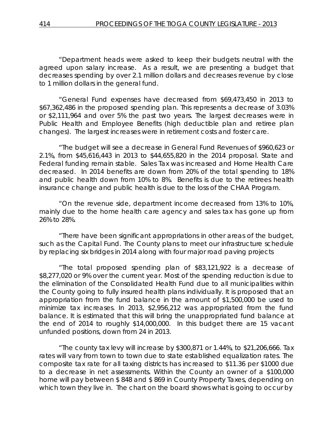"Department heads were asked to keep their budgets neutral with the agreed upon salary increase. As a result, we are presenting a budget that decreases spending by over 2.1 million dollars and decreases revenue by close to 1 million dollars in the general fund.

"General Fund expenses have decreased from \$69,473,450 in 2013 to \$67,362,486 in the proposed spending plan. This represents a decrease of 3.03% or \$2,111,964 and over 5% the past two years. The largest decreases were in Public Health and Employee Benefits (high deductible plan and retiree plan changes). The largest increases were in retirement costs and foster care.

"The budget will see a decrease in General Fund Revenues of \$960,623 or 2.1%, from \$45,616,443 in 2013 to \$44,655,820 in the 2014 proposal. State and Federal funding remain stable. Sales Tax was increased and Home Health Care decreased. In 2014 benefits are down from 20% of the total spending to 18% and public health down from 10% to 8%. Benefits is due to the retirees health insurance change and public health is due to the loss of the CHAA Program.

"On the revenue side, department income decreased from 13% to 10%, mainly due to the home health care agency and sales tax has gone up from 26% to 28%.

"There have been significant appropriations in other areas of the budget, such as the Capital Fund. The County plans to meet our infrastructure schedule by replacing six bridges in 2014 along with four major road paving projects

"The total proposed spending plan of \$83,121,922 is a decrease of \$8,277,020 or 9% over the current year. Most of the spending reduction is due to the elimination of the Consolidated Health Fund due to all municipalities within the County going to fully insured health plans individually. It is proposed that an appropriation from the fund balance in the amount of \$1,500,000 be used to minimize tax increases. In 2013, \$2,956,212 was appropriated from the fund balance. It is estimated that this will bring the unappropriated fund balance at the end of 2014 to roughly \$14,000,000. In this budget there are 15 vacant unfunded positions, down from 24 in 2013.

"The county tax levy will increase by \$300,871 or 1.44%, to \$21,206,666. Tax rates will vary from town to town due to state established equalization rates. The composite tax rate for all taxing districts has increased to \$11.36 per \$1000 due to a decrease in net assessments. Within the County an owner of a \$100,000 home will pay between \$ 848 and \$ 869 in County Property Taxes, depending on which town they live in. The chart on the board shows what is going to occur by